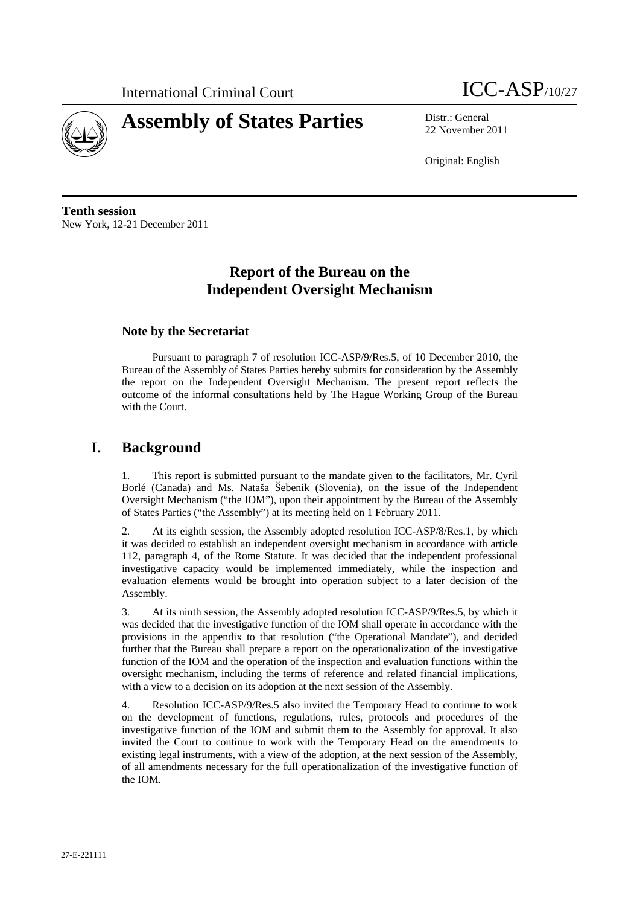



22 November 2011

Original: English

**Tenth session**  New York, 12-21 December 2011

# **Report of the Bureau on the Independent Oversight Mechanism**

## **Note by the Secretariat**

Pursuant to paragraph 7 of resolution ICC-ASP/9/Res.5, of 10 December 2010, the Bureau of the Assembly of States Parties hereby submits for consideration by the Assembly the report on the Independent Oversight Mechanism. The present report reflects the outcome of the informal consultations held by The Hague Working Group of the Bureau with the Court.

# **I. Background**

This report is submitted pursuant to the mandate given to the facilitators, Mr. Cyril Borlé (Canada) and Ms. Nataša Šebenik (Slovenia), on the issue of the Independent Oversight Mechanism ("the IOM"), upon their appointment by the Bureau of the Assembly of States Parties ("the Assembly") at its meeting held on 1 February 2011.

2. At its eighth session, the Assembly adopted resolution ICC-ASP/8/Res.1, by which it was decided to establish an independent oversight mechanism in accordance with article 112, paragraph 4, of the Rome Statute. It was decided that the independent professional investigative capacity would be implemented immediately, while the inspection and evaluation elements would be brought into operation subject to a later decision of the Assembly.

3. At its ninth session, the Assembly adopted resolution ICC-ASP/9/Res.5, by which it was decided that the investigative function of the IOM shall operate in accordance with the provisions in the appendix to that resolution ("the Operational Mandate"), and decided further that the Bureau shall prepare a report on the operationalization of the investigative function of the IOM and the operation of the inspection and evaluation functions within the oversight mechanism, including the terms of reference and related financial implications, with a view to a decision on its adoption at the next session of the Assembly.

4. Resolution ICC-ASP/9/Res.5 also invited the Temporary Head to continue to work on the development of functions, regulations, rules, protocols and procedures of the investigative function of the IOM and submit them to the Assembly for approval. It also invited the Court to continue to work with the Temporary Head on the amendments to existing legal instruments, with a view of the adoption, at the next session of the Assembly, of all amendments necessary for the full operationalization of the investigative function of the IOM.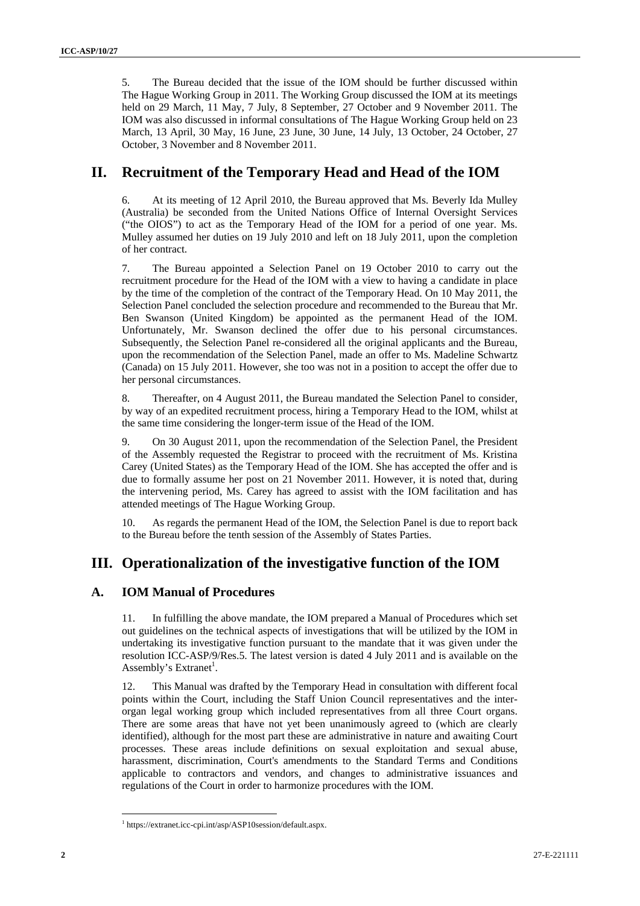5. The Bureau decided that the issue of the IOM should be further discussed within The Hague Working Group in 2011. The Working Group discussed the IOM at its meetings held on 29 March, 11 May, 7 July, 8 September, 27 October and 9 November 2011. The IOM was also discussed in informal consultations of The Hague Working Group held on 23 March, 13 April, 30 May, 16 June, 23 June, 30 June, 14 July, 13 October, 24 October, 27 October, 3 November and 8 November 2011.

# **II. Recruitment of the Temporary Head and Head of the IOM**

6. At its meeting of 12 April 2010, the Bureau approved that Ms. Beverly Ida Mulley (Australia) be seconded from the United Nations Office of Internal Oversight Services ("the OIOS") to act as the Temporary Head of the IOM for a period of one year. Ms. Mulley assumed her duties on 19 July 2010 and left on 18 July 2011, upon the completion of her contract.

7. The Bureau appointed a Selection Panel on 19 October 2010 to carry out the recruitment procedure for the Head of the IOM with a view to having a candidate in place by the time of the completion of the contract of the Temporary Head. On 10 May 2011, the Selection Panel concluded the selection procedure and recommended to the Bureau that Mr. Ben Swanson (United Kingdom) be appointed as the permanent Head of the IOM. Unfortunately, Mr. Swanson declined the offer due to his personal circumstances. Subsequently, the Selection Panel re-considered all the original applicants and the Bureau, upon the recommendation of the Selection Panel, made an offer to Ms. Madeline Schwartz (Canada) on 15 July 2011. However, she too was not in a position to accept the offer due to her personal circumstances.

8. Thereafter, on 4 August 2011, the Bureau mandated the Selection Panel to consider, by way of an expedited recruitment process, hiring a Temporary Head to the IOM, whilst at the same time considering the longer-term issue of the Head of the IOM.

9. On 30 August 2011, upon the recommendation of the Selection Panel, the President of the Assembly requested the Registrar to proceed with the recruitment of Ms. Kristina Carey (United States) as the Temporary Head of the IOM. She has accepted the offer and is due to formally assume her post on 21 November 2011. However, it is noted that, during the intervening period, Ms. Carey has agreed to assist with the IOM facilitation and has attended meetings of The Hague Working Group.

As regards the permanent Head of the IOM, the Selection Panel is due to report back to the Bureau before the tenth session of the Assembly of States Parties.

# **III. Operationalization of the investigative function of the IOM**

### **A. IOM Manual of Procedures**

11. In fulfilling the above mandate, the IOM prepared a Manual of Procedures which set out guidelines on the technical aspects of investigations that will be utilized by the IOM in undertaking its investigative function pursuant to the mandate that it was given under the resolution ICC-ASP/9/Res.5. The latest version is dated 4 July 2011 and is available on the Assembly's Extranet<sup>1</sup>.

12. This Manual was drafted by the Temporary Head in consultation with different focal points within the Court, including the Staff Union Council representatives and the interorgan legal working group which included representatives from all three Court organs. There are some areas that have not yet been unanimously agreed to (which are clearly identified), although for the most part these are administrative in nature and awaiting Court processes. These areas include definitions on sexual exploitation and sexual abuse, harassment, discrimination, Court's amendments to the Standard Terms and Conditions applicable to contractors and vendors, and changes to administrative issuances and regulations of the Court in order to harmonize procedures with the IOM.

 $\overline{a}$ 

<sup>1</sup> https://extranet.icc-cpi.int/asp/ASP10session/default.aspx.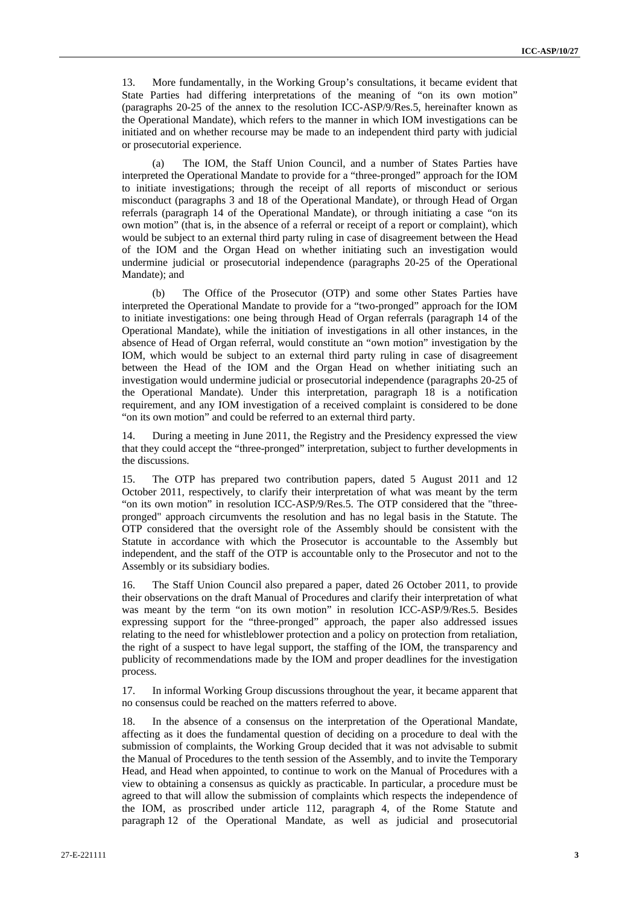13. More fundamentally, in the Working Group's consultations, it became evident that State Parties had differing interpretations of the meaning of "on its own motion" (paragraphs 20-25 of the annex to the resolution ICC-ASP/9/Res.5, hereinafter known as the Operational Mandate), which refers to the manner in which IOM investigations can be initiated and on whether recourse may be made to an independent third party with judicial or prosecutorial experience.

(a) The IOM, the Staff Union Council, and a number of States Parties have interpreted the Operational Mandate to provide for a "three-pronged" approach for the IOM to initiate investigations; through the receipt of all reports of misconduct or serious misconduct (paragraphs 3 and 18 of the Operational Mandate), or through Head of Organ referrals (paragraph 14 of the Operational Mandate), or through initiating a case "on its own motion" (that is, in the absence of a referral or receipt of a report or complaint), which would be subject to an external third party ruling in case of disagreement between the Head of the IOM and the Organ Head on whether initiating such an investigation would undermine judicial or prosecutorial independence (paragraphs 20-25 of the Operational Mandate); and

(b) The Office of the Prosecutor (OTP) and some other States Parties have interpreted the Operational Mandate to provide for a "two-pronged" approach for the IOM to initiate investigations: one being through Head of Organ referrals (paragraph 14 of the Operational Mandate), while the initiation of investigations in all other instances, in the absence of Head of Organ referral, would constitute an "own motion" investigation by the IOM, which would be subject to an external third party ruling in case of disagreement between the Head of the IOM and the Organ Head on whether initiating such an investigation would undermine judicial or prosecutorial independence (paragraphs 20-25 of the Operational Mandate). Under this interpretation, paragraph 18 is a notification requirement, and any IOM investigation of a received complaint is considered to be done "on its own motion" and could be referred to an external third party.

14. During a meeting in June 2011, the Registry and the Presidency expressed the view that they could accept the "three-pronged" interpretation, subject to further developments in the discussions.

15. The OTP has prepared two contribution papers, dated 5 August 2011 and 12 October 2011, respectively, to clarify their interpretation of what was meant by the term "on its own motion" in resolution ICC-ASP/9/Res.5. The OTP considered that the "threepronged" approach circumvents the resolution and has no legal basis in the Statute. The OTP considered that the oversight role of the Assembly should be consistent with the Statute in accordance with which the Prosecutor is accountable to the Assembly but independent, and the staff of the OTP is accountable only to the Prosecutor and not to the Assembly or its subsidiary bodies.

16. The Staff Union Council also prepared a paper, dated 26 October 2011, to provide their observations on the draft Manual of Procedures and clarify their interpretation of what was meant by the term "on its own motion" in resolution ICC-ASP/9/Res.5. Besides expressing support for the "three-pronged" approach, the paper also addressed issues relating to the need for whistleblower protection and a policy on protection from retaliation, the right of a suspect to have legal support, the staffing of the IOM, the transparency and publicity of recommendations made by the IOM and proper deadlines for the investigation process.

17. In informal Working Group discussions throughout the year, it became apparent that no consensus could be reached on the matters referred to above.

18. In the absence of a consensus on the interpretation of the Operational Mandate, affecting as it does the fundamental question of deciding on a procedure to deal with the submission of complaints, the Working Group decided that it was not advisable to submit the Manual of Procedures to the tenth session of the Assembly, and to invite the Temporary Head, and Head when appointed, to continue to work on the Manual of Procedures with a view to obtaining a consensus as quickly as practicable. In particular, a procedure must be agreed to that will allow the submission of complaints which respects the independence of the IOM, as proscribed under article 112, paragraph 4, of the Rome Statute and paragraph 12 of the Operational Mandate, as well as judicial and prosecutorial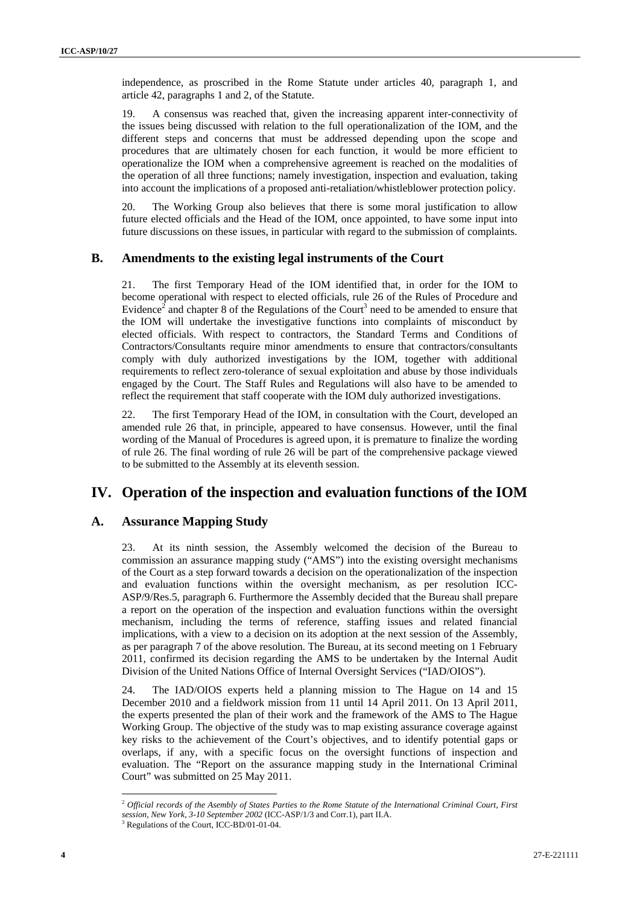independence, as proscribed in the Rome Statute under articles 40, paragraph 1, and article 42, paragraphs 1 and 2, of the Statute.

19. A consensus was reached that, given the increasing apparent inter-connectivity of the issues being discussed with relation to the full operationalization of the IOM, and the different steps and concerns that must be addressed depending upon the scope and procedures that are ultimately chosen for each function, it would be more efficient to operationalize the IOM when a comprehensive agreement is reached on the modalities of the operation of all three functions; namely investigation, inspection and evaluation, taking into account the implications of a proposed anti-retaliation/whistleblower protection policy.

20. The Working Group also believes that there is some moral justification to allow future elected officials and the Head of the IOM, once appointed, to have some input into future discussions on these issues, in particular with regard to the submission of complaints.

### **B. Amendments to the existing legal instruments of the Court**

21. The first Temporary Head of the IOM identified that, in order for the IOM to become operational with respect to elected officials, rule 26 of the Rules of Procedure and Evidence<sup>2</sup> and chapter 8 of the Regulations of the Court<sup>3</sup> need to be amended to ensure that the IOM will undertake the investigative functions into complaints of misconduct by elected officials. With respect to contractors, the Standard Terms and Conditions of Contractors/Consultants require minor amendments to ensure that contractors/consultants comply with duly authorized investigations by the IOM, together with additional requirements to reflect zero-tolerance of sexual exploitation and abuse by those individuals engaged by the Court. The Staff Rules and Regulations will also have to be amended to reflect the requirement that staff cooperate with the IOM duly authorized investigations.

22. The first Temporary Head of the IOM, in consultation with the Court, developed an amended rule 26 that, in principle, appeared to have consensus. However, until the final wording of the Manual of Procedures is agreed upon, it is premature to finalize the wording of rule 26. The final wording of rule 26 will be part of the comprehensive package viewed to be submitted to the Assembly at its eleventh session.

## **IV. Operation of the inspection and evaluation functions of the IOM**

### **A. Assurance Mapping Study**

23. At its ninth session, the Assembly welcomed the decision of the Bureau to commission an assurance mapping study ("AMS") into the existing oversight mechanisms of the Court as a step forward towards a decision on the operationalization of the inspection and evaluation functions within the oversight mechanism, as per resolution ICC-ASP/9/Res.5, paragraph 6. Furthermore the Assembly decided that the Bureau shall prepare a report on the operation of the inspection and evaluation functions within the oversight mechanism, including the terms of reference, staffing issues and related financial implications, with a view to a decision on its adoption at the next session of the Assembly, as per paragraph 7 of the above resolution. The Bureau, at its second meeting on 1 February 2011, confirmed its decision regarding the AMS to be undertaken by the Internal Audit Division of the United Nations Office of Internal Oversight Services ("IAD/OIOS").

24. The IAD/OIOS experts held a planning mission to The Hague on 14 and 15 December 2010 and a fieldwork mission from 11 until 14 April 2011. On 13 April 2011, the experts presented the plan of their work and the framework of the AMS to The Hague Working Group. The objective of the study was to map existing assurance coverage against key risks to the achievement of the Court's objectives, and to identify potential gaps or overlaps, if any, with a specific focus on the oversight functions of inspection and evaluation. The "Report on the assurance mapping study in the International Criminal Court" was submitted on 25 May 2011.

 $\overline{a}$ 

<sup>2</sup> *Official records of the Asembly of States Parties to the Rome Statute of the International Criminal Court, First session, New York, 3-10 September 2002* (ICC-ASP/1/3 and Corr.1), part II.A. <sup>3</sup> Regulations of the Court, ICC-BD/01-01-04.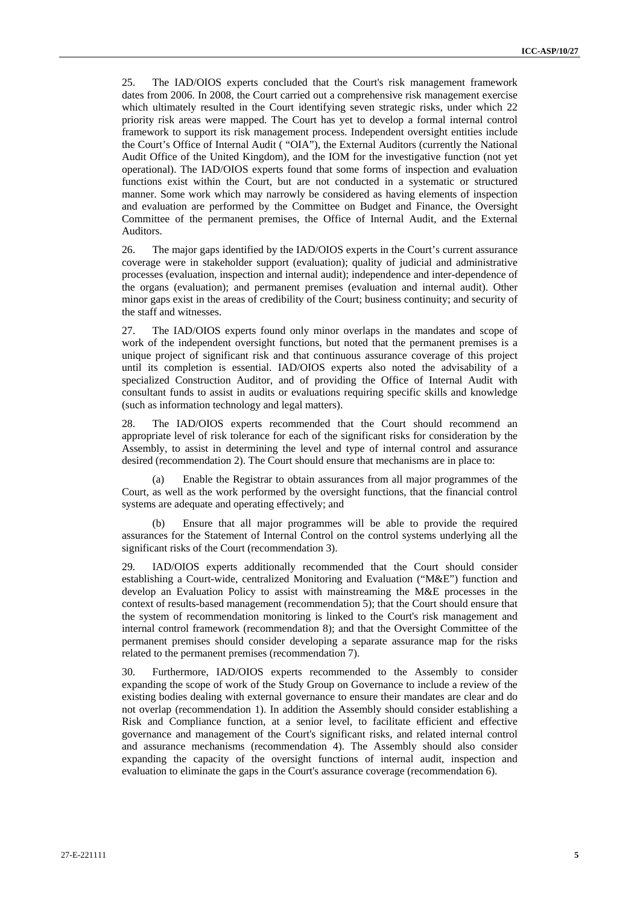25. The IAD/OIOS experts concluded that the Court's risk management framework dates from 2006. In 2008, the Court carried out a comprehensive risk management exercise which ultimately resulted in the Court identifying seven strategic risks, under which 22 priority risk areas were mapped. The Court has yet to develop a formal internal control framework to support its risk management process. Independent oversight entities include the Court's Office of Internal Audit ( "OIA"), the External Auditors (currently the National Audit Office of the United Kingdom), and the IOM for the investigative function (not yet operational). The IAD/OIOS experts found that some forms of inspection and evaluation functions exist within the Court, but are not conducted in a systematic or structured manner. Some work which may narrowly be considered as having elements of inspection and evaluation are performed by the Committee on Budget and Finance, the Oversight Committee of the permanent premises, the Office of Internal Audit, and the External Auditors.

26. The major gaps identified by the IAD/OIOS experts in the Court's current assurance coverage were in stakeholder support (evaluation); quality of judicial and administrative processes (evaluation, inspection and internal audit); independence and inter-dependence of the organs (evaluation); and permanent premises (evaluation and internal audit). Other minor gaps exist in the areas of credibility of the Court; business continuity; and security of the staff and witnesses.

27. The IAD/OIOS experts found only minor overlaps in the mandates and scope of work of the independent oversight functions, but noted that the permanent premises is a unique project of significant risk and that continuous assurance coverage of this project until its completion is essential. IAD/OIOS experts also noted the advisability of a specialized Construction Auditor, and of providing the Office of Internal Audit with consultant funds to assist in audits or evaluations requiring specific skills and knowledge (such as information technology and legal matters).

28. The IAD/OIOS experts recommended that the Court should recommend an appropriate level of risk tolerance for each of the significant risks for consideration by the Assembly, to assist in determining the level and type of internal control and assurance desired (recommendation 2). The Court should ensure that mechanisms are in place to:

Enable the Registrar to obtain assurances from all major programmes of the Court, as well as the work performed by the oversight functions, that the financial control systems are adequate and operating effectively; and

Ensure that all major programmes will be able to provide the required assurances for the Statement of Internal Control on the control systems underlying all the significant risks of the Court (recommendation 3).

29. IAD/OIOS experts additionally recommended that the Court should consider establishing a Court-wide, centralized Monitoring and Evaluation ("M&E") function and develop an Evaluation Policy to assist with mainstreaming the M&E processes in the context of results-based management (recommendation 5); that the Court should ensure that the system of recommendation monitoring is linked to the Court's risk management and internal control framework (recommendation 8); and that the Oversight Committee of the permanent premises should consider developing a separate assurance map for the risks related to the permanent premises (recommendation 7).

30. Furthermore, IAD/OIOS experts recommended to the Assembly to consider expanding the scope of work of the Study Group on Governance to include a review of the existing bodies dealing with external governance to ensure their mandates are clear and do not overlap (recommendation 1). In addition the Assembly should consider establishing a Risk and Compliance function, at a senior level, to facilitate efficient and effective governance and management of the Court's significant risks, and related internal control and assurance mechanisms (recommendation 4). The Assembly should also consider expanding the capacity of the oversight functions of internal audit, inspection and evaluation to eliminate the gaps in the Court's assurance coverage (recommendation 6).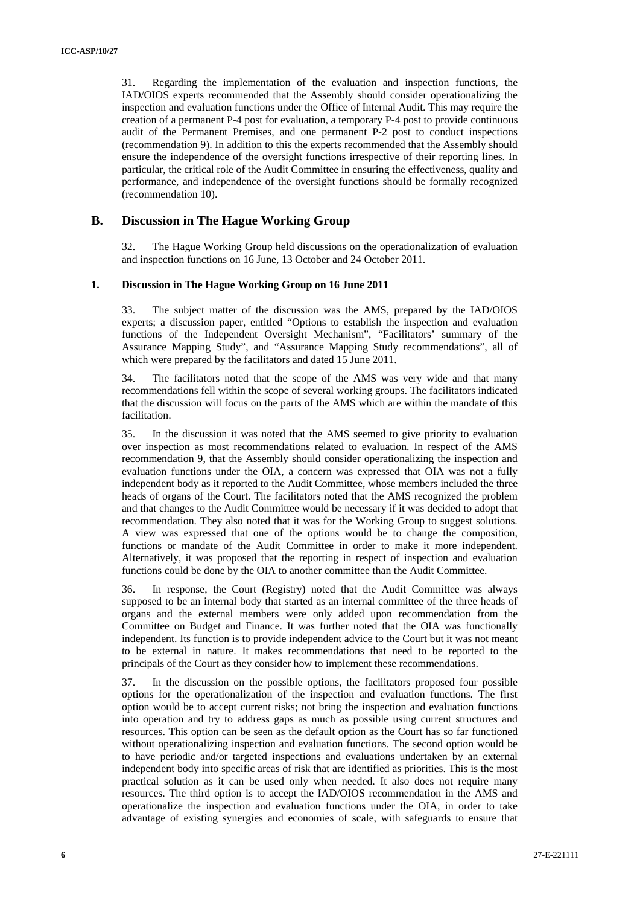31. Regarding the implementation of the evaluation and inspection functions, the IAD/OIOS experts recommended that the Assembly should consider operationalizing the inspection and evaluation functions under the Office of Internal Audit. This may require the creation of a permanent P-4 post for evaluation, a temporary P-4 post to provide continuous audit of the Permanent Premises, and one permanent P-2 post to conduct inspections (recommendation 9). In addition to this the experts recommended that the Assembly should ensure the independence of the oversight functions irrespective of their reporting lines. In particular, the critical role of the Audit Committee in ensuring the effectiveness, quality and performance, and independence of the oversight functions should be formally recognized (recommendation 10).

### **B. Discussion in The Hague Working Group**

32. The Hague Working Group held discussions on the operationalization of evaluation and inspection functions on 16 June, 13 October and 24 October 2011.

#### **1. Discussion in The Hague Working Group on 16 June 2011**

33. The subject matter of the discussion was the AMS, prepared by the IAD/OIOS experts; a discussion paper, entitled "Options to establish the inspection and evaluation functions of the Independent Oversight Mechanism", "Facilitators' summary of the Assurance Mapping Study", and "Assurance Mapping Study recommendations", all of which were prepared by the facilitators and dated 15 June 2011.

34. The facilitators noted that the scope of the AMS was very wide and that many recommendations fell within the scope of several working groups. The facilitators indicated that the discussion will focus on the parts of the AMS which are within the mandate of this facilitation.

35. In the discussion it was noted that the AMS seemed to give priority to evaluation over inspection as most recommendations related to evaluation. In respect of the AMS recommendation 9, that the Assembly should consider operationalizing the inspection and evaluation functions under the OIA, a concern was expressed that OIA was not a fully independent body as it reported to the Audit Committee, whose members included the three heads of organs of the Court. The facilitators noted that the AMS recognized the problem and that changes to the Audit Committee would be necessary if it was decided to adopt that recommendation. They also noted that it was for the Working Group to suggest solutions. A view was expressed that one of the options would be to change the composition, functions or mandate of the Audit Committee in order to make it more independent. Alternatively, it was proposed that the reporting in respect of inspection and evaluation functions could be done by the OIA to another committee than the Audit Committee.

36. In response, the Court (Registry) noted that the Audit Committee was always supposed to be an internal body that started as an internal committee of the three heads of organs and the external members were only added upon recommendation from the Committee on Budget and Finance. It was further noted that the OIA was functionally independent. Its function is to provide independent advice to the Court but it was not meant to be external in nature. It makes recommendations that need to be reported to the principals of the Court as they consider how to implement these recommendations.

37. In the discussion on the possible options, the facilitators proposed four possible options for the operationalization of the inspection and evaluation functions. The first option would be to accept current risks; not bring the inspection and evaluation functions into operation and try to address gaps as much as possible using current structures and resources. This option can be seen as the default option as the Court has so far functioned without operationalizing inspection and evaluation functions. The second option would be to have periodic and/or targeted inspections and evaluations undertaken by an external independent body into specific areas of risk that are identified as priorities. This is the most practical solution as it can be used only when needed. It also does not require many resources. The third option is to accept the IAD/OIOS recommendation in the AMS and operationalize the inspection and evaluation functions under the OIA, in order to take advantage of existing synergies and economies of scale, with safeguards to ensure that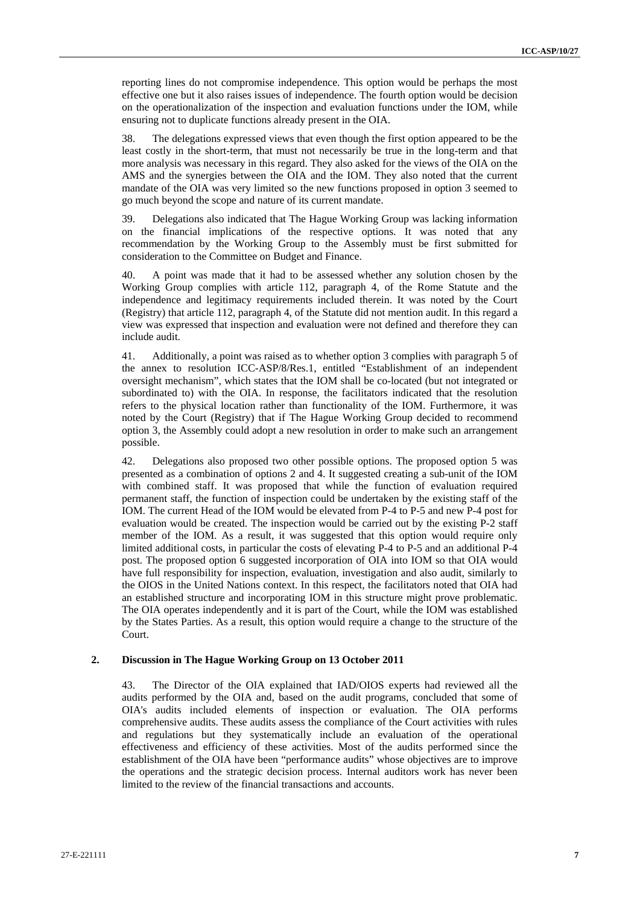reporting lines do not compromise independence. This option would be perhaps the most effective one but it also raises issues of independence. The fourth option would be decision on the operationalization of the inspection and evaluation functions under the IOM, while ensuring not to duplicate functions already present in the OIA.

38. The delegations expressed views that even though the first option appeared to be the least costly in the short-term, that must not necessarily be true in the long-term and that more analysis was necessary in this regard. They also asked for the views of the OIA on the AMS and the synergies between the OIA and the IOM. They also noted that the current mandate of the OIA was very limited so the new functions proposed in option 3 seemed to go much beyond the scope and nature of its current mandate.

39. Delegations also indicated that The Hague Working Group was lacking information on the financial implications of the respective options. It was noted that any recommendation by the Working Group to the Assembly must be first submitted for consideration to the Committee on Budget and Finance.

40. A point was made that it had to be assessed whether any solution chosen by the Working Group complies with article 112, paragraph 4, of the Rome Statute and the independence and legitimacy requirements included therein. It was noted by the Court (Registry) that article 112, paragraph 4, of the Statute did not mention audit. In this regard a view was expressed that inspection and evaluation were not defined and therefore they can include audit.

41. Additionally, a point was raised as to whether option 3 complies with paragraph 5 of the annex to resolution ICC-ASP/8/Res.1, entitled "Establishment of an independent oversight mechanism", which states that the IOM shall be co-located (but not integrated or subordinated to) with the OIA. In response, the facilitators indicated that the resolution refers to the physical location rather than functionality of the IOM. Furthermore, it was noted by the Court (Registry) that if The Hague Working Group decided to recommend option 3, the Assembly could adopt a new resolution in order to make such an arrangement possible.

42. Delegations also proposed two other possible options. The proposed option 5 was presented as a combination of options 2 and 4. It suggested creating a sub-unit of the IOM with combined staff. It was proposed that while the function of evaluation required permanent staff, the function of inspection could be undertaken by the existing staff of the IOM. The current Head of the IOM would be elevated from P-4 to P-5 and new P-4 post for evaluation would be created. The inspection would be carried out by the existing P-2 staff member of the IOM. As a result, it was suggested that this option would require only limited additional costs, in particular the costs of elevating P-4 to P-5 and an additional P-4 post. The proposed option 6 suggested incorporation of OIA into IOM so that OIA would have full responsibility for inspection, evaluation, investigation and also audit, similarly to the OIOS in the United Nations context. In this respect, the facilitators noted that OIA had an established structure and incorporating IOM in this structure might prove problematic. The OIA operates independently and it is part of the Court, while the IOM was established by the States Parties. As a result, this option would require a change to the structure of the Court.

#### **2. Discussion in The Hague Working Group on 13 October 2011**

43. The Director of the OIA explained that IAD/OIOS experts had reviewed all the audits performed by the OIA and, based on the audit programs, concluded that some of OIA's audits included elements of inspection or evaluation. The OIA performs comprehensive audits. These audits assess the compliance of the Court activities with rules and regulations but they systematically include an evaluation of the operational effectiveness and efficiency of these activities. Most of the audits performed since the establishment of the OIA have been "performance audits" whose objectives are to improve the operations and the strategic decision process. Internal auditors work has never been limited to the review of the financial transactions and accounts.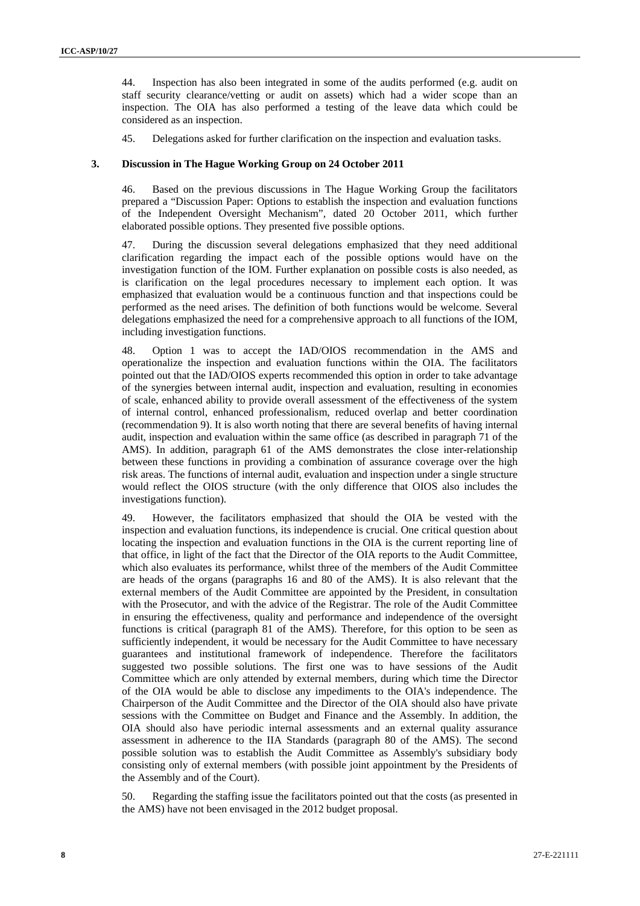44. Inspection has also been integrated in some of the audits performed (e.g. audit on staff security clearance/vetting or audit on assets) which had a wider scope than an inspection. The OIA has also performed a testing of the leave data which could be considered as an inspection.

45. Delegations asked for further clarification on the inspection and evaluation tasks.

#### **3. Discussion in The Hague Working Group on 24 October 2011**

46. Based on the previous discussions in The Hague Working Group the facilitators prepared a "Discussion Paper: Options to establish the inspection and evaluation functions of the Independent Oversight Mechanism", dated 20 October 2011, which further elaborated possible options. They presented five possible options.

47. During the discussion several delegations emphasized that they need additional clarification regarding the impact each of the possible options would have on the investigation function of the IOM. Further explanation on possible costs is also needed, as is clarification on the legal procedures necessary to implement each option. It was emphasized that evaluation would be a continuous function and that inspections could be performed as the need arises. The definition of both functions would be welcome. Several delegations emphasized the need for a comprehensive approach to all functions of the IOM, including investigation functions.

48. Option 1 was to accept the IAD/OIOS recommendation in the AMS and operationalize the inspection and evaluation functions within the OIA. The facilitators pointed out that the IAD/OIOS experts recommended this option in order to take advantage of the synergies between internal audit, inspection and evaluation, resulting in economies of scale, enhanced ability to provide overall assessment of the effectiveness of the system of internal control, enhanced professionalism, reduced overlap and better coordination (recommendation 9). It is also worth noting that there are several benefits of having internal audit, inspection and evaluation within the same office (as described in paragraph 71 of the AMS). In addition, paragraph 61 of the AMS demonstrates the close inter-relationship between these functions in providing a combination of assurance coverage over the high risk areas. The functions of internal audit, evaluation and inspection under a single structure would reflect the OIOS structure (with the only difference that OIOS also includes the investigations function).

49. However, the facilitators emphasized that should the OIA be vested with the inspection and evaluation functions, its independence is crucial. One critical question about locating the inspection and evaluation functions in the OIA is the current reporting line of that office, in light of the fact that the Director of the OIA reports to the Audit Committee, which also evaluates its performance, whilst three of the members of the Audit Committee are heads of the organs (paragraphs 16 and 80 of the AMS). It is also relevant that the external members of the Audit Committee are appointed by the President, in consultation with the Prosecutor, and with the advice of the Registrar. The role of the Audit Committee in ensuring the effectiveness, quality and performance and independence of the oversight functions is critical (paragraph 81 of the AMS). Therefore, for this option to be seen as sufficiently independent, it would be necessary for the Audit Committee to have necessary guarantees and institutional framework of independence. Therefore the facilitators suggested two possible solutions. The first one was to have sessions of the Audit Committee which are only attended by external members, during which time the Director of the OIA would be able to disclose any impediments to the OIA's independence. The Chairperson of the Audit Committee and the Director of the OIA should also have private sessions with the Committee on Budget and Finance and the Assembly. In addition, the OIA should also have periodic internal assessments and an external quality assurance assessment in adherence to the IIA Standards (paragraph 80 of the AMS). The second possible solution was to establish the Audit Committee as Assembly's subsidiary body consisting only of external members (with possible joint appointment by the Presidents of the Assembly and of the Court).

50. Regarding the staffing issue the facilitators pointed out that the costs (as presented in the AMS) have not been envisaged in the 2012 budget proposal.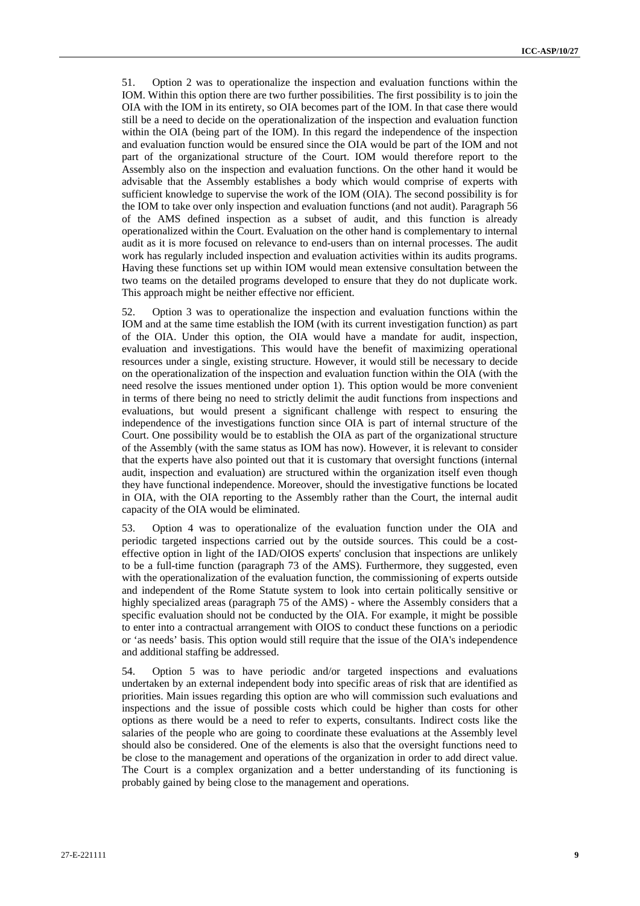51. Option 2 was to operationalize the inspection and evaluation functions within the IOM. Within this option there are two further possibilities. The first possibility is to join the OIA with the IOM in its entirety, so OIA becomes part of the IOM. In that case there would still be a need to decide on the operationalization of the inspection and evaluation function within the OIA (being part of the IOM). In this regard the independence of the inspection and evaluation function would be ensured since the OIA would be part of the IOM and not part of the organizational structure of the Court. IOM would therefore report to the Assembly also on the inspection and evaluation functions. On the other hand it would be advisable that the Assembly establishes a body which would comprise of experts with sufficient knowledge to supervise the work of the IOM (OIA). The second possibility is for the IOM to take over only inspection and evaluation functions (and not audit). Paragraph 56 of the AMS defined inspection as a subset of audit, and this function is already operationalized within the Court. Evaluation on the other hand is complementary to internal audit as it is more focused on relevance to end-users than on internal processes. The audit work has regularly included inspection and evaluation activities within its audits programs. Having these functions set up within IOM would mean extensive consultation between the two teams on the detailed programs developed to ensure that they do not duplicate work. This approach might be neither effective nor efficient.

52. Option 3 was to operationalize the inspection and evaluation functions within the IOM and at the same time establish the IOM (with its current investigation function) as part of the OIA. Under this option, the OIA would have a mandate for audit, inspection, evaluation and investigations. This would have the benefit of maximizing operational resources under a single, existing structure. However, it would still be necessary to decide on the operationalization of the inspection and evaluation function within the OIA (with the need resolve the issues mentioned under option 1). This option would be more convenient in terms of there being no need to strictly delimit the audit functions from inspections and evaluations, but would present a significant challenge with respect to ensuring the independence of the investigations function since OIA is part of internal structure of the Court. One possibility would be to establish the OIA as part of the organizational structure of the Assembly (with the same status as IOM has now). However, it is relevant to consider that the experts have also pointed out that it is customary that oversight functions (internal audit, inspection and evaluation) are structured within the organization itself even though they have functional independence. Moreover, should the investigative functions be located in OIA, with the OIA reporting to the Assembly rather than the Court, the internal audit capacity of the OIA would be eliminated.

53. Option 4 was to operationalize of the evaluation function under the OIA and periodic targeted inspections carried out by the outside sources. This could be a costeffective option in light of the IAD/OIOS experts' conclusion that inspections are unlikely to be a full-time function (paragraph 73 of the AMS). Furthermore, they suggested, even with the operationalization of the evaluation function, the commissioning of experts outside and independent of the Rome Statute system to look into certain politically sensitive or highly specialized areas (paragraph 75 of the AMS) - where the Assembly considers that a specific evaluation should not be conducted by the OIA. For example, it might be possible to enter into a contractual arrangement with OIOS to conduct these functions on a periodic or 'as needs' basis. This option would still require that the issue of the OIA's independence and additional staffing be addressed.

54. Option 5 was to have periodic and/or targeted inspections and evaluations undertaken by an external independent body into specific areas of risk that are identified as priorities. Main issues regarding this option are who will commission such evaluations and inspections and the issue of possible costs which could be higher than costs for other options as there would be a need to refer to experts, consultants. Indirect costs like the salaries of the people who are going to coordinate these evaluations at the Assembly level should also be considered. One of the elements is also that the oversight functions need to be close to the management and operations of the organization in order to add direct value. The Court is a complex organization and a better understanding of its functioning is probably gained by being close to the management and operations.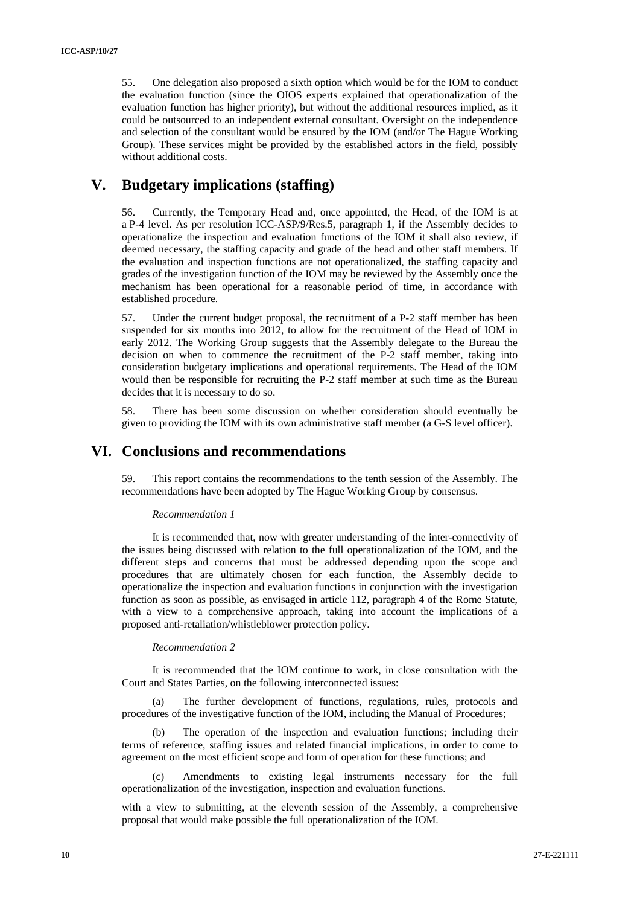55. One delegation also proposed a sixth option which would be for the IOM to conduct the evaluation function (since the OIOS experts explained that operationalization of the evaluation function has higher priority), but without the additional resources implied, as it could be outsourced to an independent external consultant. Oversight on the independence and selection of the consultant would be ensured by the IOM (and/or The Hague Working Group). These services might be provided by the established actors in the field, possibly without additional costs.

# **V. Budgetary implications (staffing)**

56. Currently, the Temporary Head and, once appointed, the Head, of the IOM is at a P-4 level. As per resolution ICC-ASP/9/Res.5, paragraph 1, if the Assembly decides to operationalize the inspection and evaluation functions of the IOM it shall also review, if deemed necessary, the staffing capacity and grade of the head and other staff members. If the evaluation and inspection functions are not operationalized, the staffing capacity and grades of the investigation function of the IOM may be reviewed by the Assembly once the mechanism has been operational for a reasonable period of time, in accordance with established procedure.

57. Under the current budget proposal, the recruitment of a P-2 staff member has been suspended for six months into 2012, to allow for the recruitment of the Head of IOM in early 2012. The Working Group suggests that the Assembly delegate to the Bureau the decision on when to commence the recruitment of the P-2 staff member, taking into consideration budgetary implications and operational requirements. The Head of the IOM would then be responsible for recruiting the P-2 staff member at such time as the Bureau decides that it is necessary to do so.

58. There has been some discussion on whether consideration should eventually be given to providing the IOM with its own administrative staff member (a G-S level officer).

## **VI. Conclusions and recommendations**

59. This report contains the recommendations to the tenth session of the Assembly. The recommendations have been adopted by The Hague Working Group by consensus.

#### *Recommendation 1*

It is recommended that, now with greater understanding of the inter-connectivity of the issues being discussed with relation to the full operationalization of the IOM, and the different steps and concerns that must be addressed depending upon the scope and procedures that are ultimately chosen for each function, the Assembly decide to operationalize the inspection and evaluation functions in conjunction with the investigation function as soon as possible, as envisaged in article 112, paragraph 4 of the Rome Statute, with a view to a comprehensive approach, taking into account the implications of a proposed anti-retaliation/whistleblower protection policy.

#### *Recommendation 2*

It is recommended that the IOM continue to work, in close consultation with the Court and States Parties, on the following interconnected issues:

(a) The further development of functions, regulations, rules, protocols and procedures of the investigative function of the IOM, including the Manual of Procedures;

(b) The operation of the inspection and evaluation functions; including their terms of reference, staffing issues and related financial implications, in order to come to agreement on the most efficient scope and form of operation for these functions; and

(c) Amendments to existing legal instruments necessary for the full operationalization of the investigation, inspection and evaluation functions.

with a view to submitting, at the eleventh session of the Assembly, a comprehensive proposal that would make possible the full operationalization of the IOM.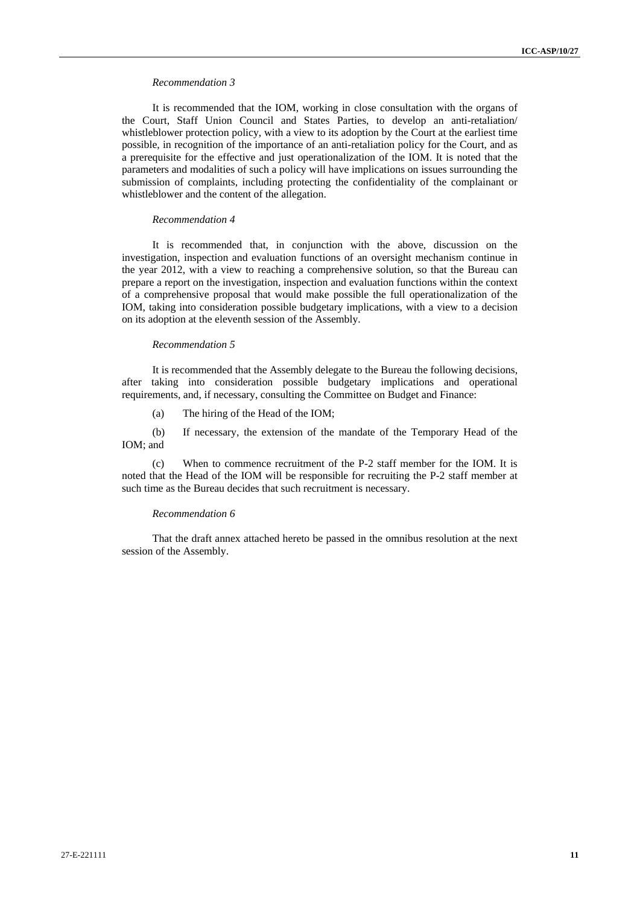#### *Recommendation 3*

It is recommended that the IOM, working in close consultation with the organs of the Court, Staff Union Council and States Parties, to develop an anti-retaliation/ whistleblower protection policy, with a view to its adoption by the Court at the earliest time possible, in recognition of the importance of an anti-retaliation policy for the Court, and as a prerequisite for the effective and just operationalization of the IOM. It is noted that the parameters and modalities of such a policy will have implications on issues surrounding the submission of complaints, including protecting the confidentiality of the complainant or whistleblower and the content of the allegation.

#### *Recommendation 4*

It is recommended that, in conjunction with the above, discussion on the investigation, inspection and evaluation functions of an oversight mechanism continue in the year 2012, with a view to reaching a comprehensive solution, so that the Bureau can prepare a report on the investigation, inspection and evaluation functions within the context of a comprehensive proposal that would make possible the full operationalization of the IOM, taking into consideration possible budgetary implications, with a view to a decision on its adoption at the eleventh session of the Assembly.

#### *Recommendation 5*

It is recommended that the Assembly delegate to the Bureau the following decisions, after taking into consideration possible budgetary implications and operational requirements, and, if necessary, consulting the Committee on Budget and Finance:

(a) The hiring of the Head of the IOM;

(b) If necessary, the extension of the mandate of the Temporary Head of the IOM; and

(c) When to commence recruitment of the P-2 staff member for the IOM. It is noted that the Head of the IOM will be responsible for recruiting the P-2 staff member at such time as the Bureau decides that such recruitment is necessary.

#### *Recommendation 6*

That the draft annex attached hereto be passed in the omnibus resolution at the next session of the Assembly.